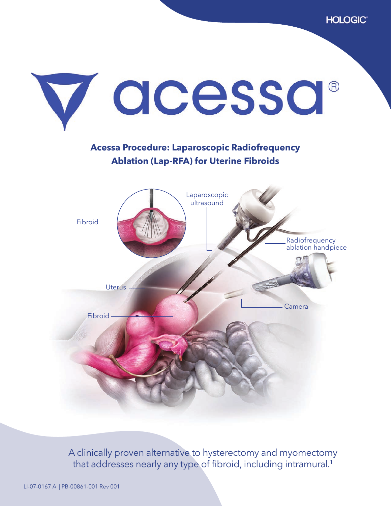

**Acessa Procedure: Laparoscopic Radiofrequency Ablation (Lap-RFA) for Uterine Fibroids**



A clinically proven alternative to hysterectomy and myomectomy that addresses nearly any type of fibroid, including intramural.<sup>1</sup>

LI-07-0167 A | PB-00861-001 Rev 001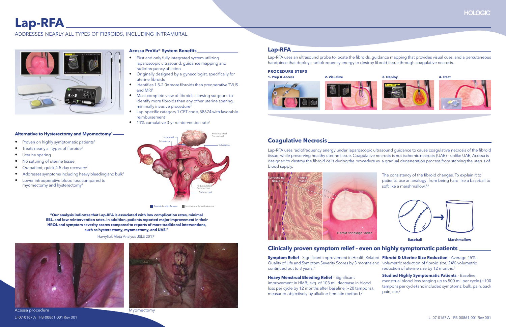# **Lap-RFA**

# ADDRESSES NEARLY ALL TYPES OF FIBROIDS, INCLUDING INTRAMURAL



#### **Acessa ProVu® System Benefits\_**

#### **Alternative to Hysterectomy and Myomectomy1**

- Proven on highly symptomatic patients<sup>2</sup>
- Treats nearly all types of fibroids<sup>2</sup>
- Uterine sparing
- No suturing of uterine tissue
- Outpatient, quick 4-5 day recovery<sup>2</sup>
- Addresses symptoms including heavy bleeding and bulk<sup>2</sup>
- Lower intraoperative blood loss compared to myomectomy and hysterectomy1

**"Our analysis indicates that Lap-RFA is associated with low complication rates, minimal EBL, and low reintervention rates. In addition, patients reported major improvement in their HRQL and symptom severity scores compared to reports of more traditional interventions, such as hysterectomy, myomectomy, and UAE."**

Lap-RFA uses radiofrequency energy under laparoscopic ultrasound quidance to cause coagulative necrosis of the fibroid tissue, while preserving healthy uterine tissue. Coagulative necrosis is not ischemic necrosis (UAE) – unlike UAE, Acessa is designed to destroy the fibroid cells during the procedure vs. a gradual degeneration process from starving the uterus of blood supply.



Havryliuk Meta Analysis JSLS 2017<sup>1</sup>





**Heavy Menstrual Bleeding Relief - Significant** improvement in HMB; avg. of 103 mL decrease in blood loss per cycle by 12 months after baseline (~20 tampons), measured objectively by alkaline-hematin method.<sup>2</sup>

**Studied Highly Symptomatic Patients** - Baseline menstrual blood loss ranging up to 500 mL per cycle (~100 tampons per cycle) and included symptoms: bulk, pain, back pain, etc.<sup>2</sup>

- First and only fully integrated system utilizing laparoscopic ultrasound, guidance mapping and radiofrequency ablation
- Originally designed by a gynecologist, specifically for uterine fibroids
- $\bullet$  Identifies 1.5-2.0x more fibroids than preoperative TVUS and MRI3
- Most complete view of fibroids allowing surgeons to identify more fibroids than any other uterine sparing, minimally invasive procedure<sup>3</sup>
- Lap. specific category 1 CPT code, 58674 with favorable reimbursement
- 11% cumulative 3-yr reintervention rate<sup>7</sup>



Lap-RFA uses an ultrasound probe to locate the fibroids, quidance mapping that provides visual cues, and a percutaneous handpiece that deploys radiofrequency energy to destroy fibroid tissue through coagulative necrosis.

#### **PROCEDURE STEPS**





**Baseball Marshmallow**

# **Coagulative Necrosis**

### **Clinically proven symptom relief – even on highly symptomatic patients**

 ${\sf Sympton\,}$   ${\sf Relief}$  - Significant improvement in Health Related  $~{\sf Fibonacci\,}$  &  ${\sf Uterine\,}$   ${\sf Size\,}$   ${\sf Reduction}$  - Average 45%  $~$ Quality of Life and Symptom Severity Scores by 3 months and volumetric reduction of fi broid size, 24% volumetric continued out to 3 years.<sup>7</sup> reduction of uterine size by 12 months.<sup>2</sup>



Myomectomy



The consistency of the fibroid changes. To explain it to patients, use an analogy: from being hard like a baseball to soft like a marshmallow.<sup>5,6</sup>





Treatable with Acessa Not treatable with Acessa

Acessa procedure LI-07-0167 A | PB-00861-001 Rev 001